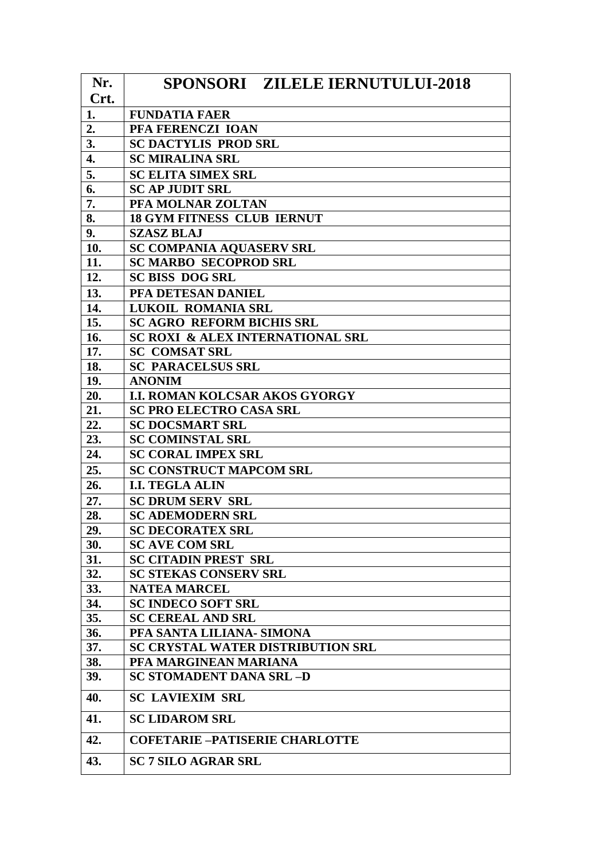| Nr.        | <b>SPONSORI ZILELE IERNUTULUI-2018</b>                   |
|------------|----------------------------------------------------------|
| Crt.       |                                                          |
| 1.         | <b>FUNDATIA FAER</b>                                     |
| 2.         | PFA FERENCZI IOAN                                        |
| 3.         | <b>SC DACTYLIS PROD SRL</b>                              |
| 4.         | <b>SC MIRALINA SRL</b>                                   |
| 5.         | <b>SC ELITA SIMEX SRL</b>                                |
| 6.         | <b>SC AP JUDIT SRL</b>                                   |
| 7.         | PFA MOLNAR ZOLTAN                                        |
| 8.         | <b>18 GYM FITNESS CLUB IERNUT</b>                        |
| 9.         | <b>SZASZ BLAJ</b>                                        |
| 10.        | <b>SC COMPANIA AQUASERV SRL</b>                          |
| 11.        | <b>SC MARBO SECOPROD SRL</b>                             |
| 12.        | <b>SC BISS DOG SRL</b>                                   |
| 13.        | PFA DETESAN DANIEL                                       |
| 14.        | <b>LUKOIL ROMANIA SRL</b>                                |
| 15.        | <b>SC AGRO REFORM BICHIS SRL</b>                         |
| 16.        | SC ROXI & ALEX INTERNATIONAL SRL                         |
| 17.        | <b>SC COMSAT SRL</b>                                     |
| 18.        | <b>SC PARACELSUS SRL</b>                                 |
| 19.        | <b>ANONIM</b>                                            |
| 20.        | <b>I.I. ROMAN KOLCSAR AKOS GYORGY</b>                    |
| 21.        | <b>SC PRO ELECTRO CASA SRL</b>                           |
| 22.        | <b>SC DOCSMART SRL</b>                                   |
| 23.<br>24. | <b>SC COMINSTAL SRL</b><br><b>SC CORAL IMPEX SRL</b>     |
|            |                                                          |
| 25.        | <b>SC CONSTRUCT MAPCOM SRL</b><br><b>I.I. TEGLA ALIN</b> |
| 26.        |                                                          |
| 27.        | <b>SC DRUM SERV SRL</b>                                  |
| 28.        | <b>SC ADEMODERN SRL</b>                                  |
| 29.<br>30. | <b>SC DECORATEX SRL</b><br><b>SC AVE COM SRL</b>         |
| 31.        | <b>SC CITADIN PREST SRL</b>                              |
| 32.        | <b>SC STEKAS CONSERV SRL</b>                             |
| 33.        | <b>NATEA MARCEL</b>                                      |
| 34.        | <b>SC INDECO SOFT SRL</b>                                |
| 35.        | <b>SC CEREAL AND SRL</b>                                 |
| 36.        | PFA SANTA LILIANA- SIMONA                                |
| 37.        | <b>SC CRYSTAL WATER DISTRIBUTION SRL</b>                 |
| 38.        | PFA MARGINEAN MARIANA                                    |
| 39.        | <b>SC STOMADENT DANA SRL-D</b>                           |
| 40.        | <b>SC LAVIEXIM SRL</b>                                   |
| 41.        | <b>SC LIDAROM SRL</b>                                    |
| 42.        | <b>COFETARIE -PATISERIE CHARLOTTE</b>                    |
| 43.        | <b>SC 7 SILO AGRAR SRL</b>                               |